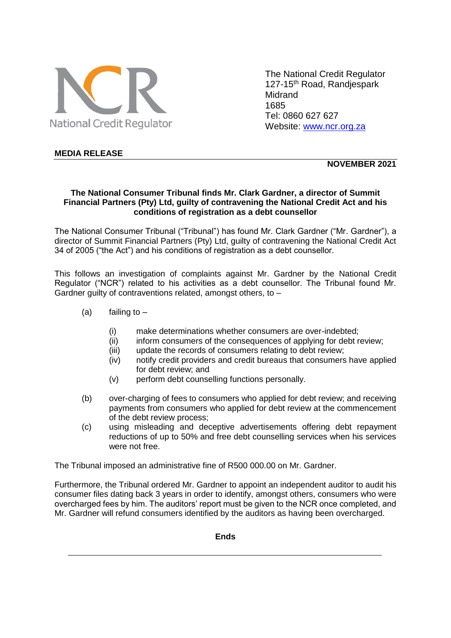

The National Credit Regulator 127-15<sup>th</sup> Road, Randjespark Midrand 1685 Tel: 0860 627 627 Website: [www.ncr.org.za](http://www.ncr.org.za/)

## **MEDIA RELEASE**

**NOVEMBER 2021**

## **The National Consumer Tribunal finds Mr. Clark Gardner, a director of Summit Financial Partners (Pty) Ltd, guilty of contravening the National Credit Act and his conditions of registration as a debt counsellor**

The National Consumer Tribunal ("Tribunal") has found Mr. Clark Gardner ("Mr. Gardner"), a director of Summit Financial Partners (Pty) Ltd, guilty of contravening the National Credit Act 34 of 2005 ("the Act") and his conditions of registration as a debt counsellor.

This follows an investigation of complaints against Mr. Gardner by the National Credit Regulator ("NCR") related to his activities as a debt counsellor. The Tribunal found Mr. Gardner guilty of contraventions related, amongst others, to –

- (a) failing to  $-$ 
	- (i) make determinations whether consumers are over-indebted;
	- (ii) inform consumers of the consequences of applying for debt review;
	- (iii) update the records of consumers relating to debt review;
	- (iv) notify credit providers and credit bureaus that consumers have applied for debt review; and
	- (v) perform debt counselling functions personally.
- (b) over-charging of fees to consumers who applied for debt review; and receiving payments from consumers who applied for debt review at the commencement of the debt review process;
- (c) using misleading and deceptive advertisements offering debt repayment reductions of up to 50% and free debt counselling services when his services were not free.

The Tribunal imposed an administrative fine of R500 000.00 on Mr. Gardner.

Furthermore, the Tribunal ordered Mr. Gardner to appoint an independent auditor to audit his consumer files dating back 3 years in order to identify, amongst others, consumers who were overcharged fees by him. The auditors' report must be given to the NCR once completed, and Mr. Gardner will refund consumers identified by the auditors as having been overcharged.

**Ends**